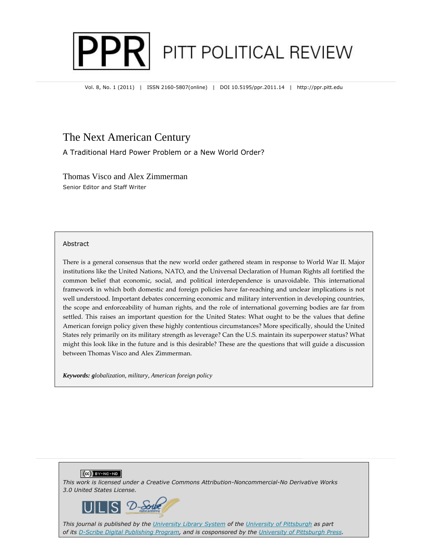

Vol. 8, No. 1 (2011) | ISSN 2160-5807(online) | DOI 10.5195/ppr.2011.14 | http://ppr.pitt.edu

# The Next American Century

A Traditional Hard Power Problem or a New World Order?

Thomas Visco and Alex Zimmerman Senior Editor and Staff Writer

#### Abstract

There is a general consensus that the new world order gathered steam in response to World War II. Major institutions like the United Nations, NATO, and the Universal Declaration of Human Rights all fortified the common belief that economic, social, and political interdependence is unavoidable. This international framework in which both domestic and foreign policies have far-reaching and unclear implications is not well understood. Important debates concerning economic and military intervention in developing countries, the scope and enforceability of human rights, and the role of international governing bodies are far from settled. This raises an important question for the United States: What ought to be the values that define American foreign policy given these highly contentious circumstances? More specifically, should the United States rely primarily on its military strength as leverage? Can the U.S. maintain its superpower status? What might this look like in the future and is this desirable? These are the questions that will guide a discussion between Thomas Visco and Alex Zimmerman.

*Keywords: globalization, military, American foreign policy* 





*This journal is published by the University Library System of the University of Pittsburgh as part of its D-Scribe Digital Publishing Program, and is cosponsored by the University of Pittsburgh Press.*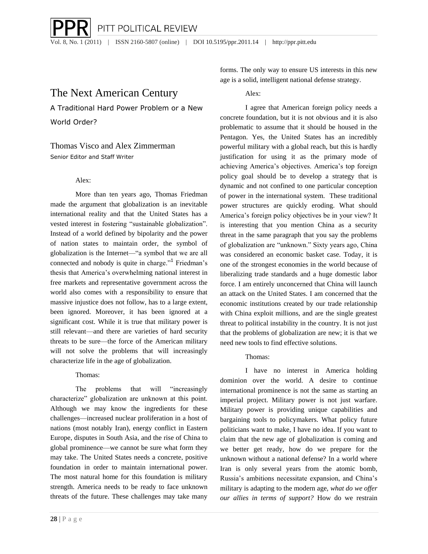PITT POLITICAL REVIEW Vol. 8, No. 1 (2011) | ISSN 2160-5807 (online) | DOI 10.5195/ppr.2011.14 | http://ppr.pitt.edu

# The Next American Century

A Traditional Hard Power Problem or a New World Order?

## Thomas Visco and Alex Zimmerman Senior Editor and Staff Writer

### Alex:

More than ten years ago, Thomas Friedman made the argument that globalization is an inevitable international reality and that the United States has a vested interest in fostering "sustainable globalization". Instead of a world defined by bipolarity and the power of nation states to maintain order, the symbol of globalization is the Internet—"a symbol that we are all connected and nobody is quite in charge."<sup>1</sup> Friedman's thesis that America's overwhelming national interest in free markets and representative government across the world also comes with a responsibility to ensure that massive injustice does not follow, has to a large extent, been ignored. Moreover, it has been ignored at a significant cost. While it is true that military power is still relevant—and there are varieties of hard security threats to be sure—the force of the American military will not solve the problems that will increasingly characterize life in the age of globalization.

## Thomas:

The problems that will "increasingly characterize" globalization are unknown at this point. Although we may know the ingredients for these challenges—increased nuclear proliferation in a host of nations (most notably Iran), energy conflict in Eastern Europe, disputes in South Asia, and the rise of China to global prominence—we cannot be sure what form they may take. The United States needs a concrete, positive foundation in order to maintain international power. The most natural home for this foundation is military strength. America needs to be ready to face unknown threats of the future. These challenges may take many

forms. The only way to ensure US interests in this new age is a solid, intelligent national defense strategy.

## Alex:

I agree that American foreign policy needs a concrete foundation, but it is not obvious and it is also problematic to assume that it should be housed in the Pentagon. Yes, the United States has an incredibly powerful military with a global reach, but this is hardly justification for using it as the primary mode of achieving America's objectives. America's top foreign policy goal should be to develop a strategy that is dynamic and not confined to one particular conception of power in the international system. These traditional power structures are quickly eroding. What should America's foreign policy objectives be in your view? It is interesting that you mention China as a security threat in the same paragraph that you say the problems of globalization are "unknown." Sixty years ago, China was considered an economic basket case. Today, it is one of the strongest economies in the world because of liberalizing trade standards and a huge domestic labor force. I am entirely unconcerned that China will launch an attack on the United States. I am concerned that the economic institutions created by our trade relationship with China exploit millions, and are the single greatest threat to political instability in the country. It is not just that the problems of globalization are new; it is that we need new tools to find effective solutions.

## Thomas:

I have no interest in America holding dominion over the world. A desire to continue international prominence is not the same as starting an imperial project. Military power is not just warfare. Military power is providing unique capabilities and bargaining tools to policymakers. What policy future politicians want to make, I have no idea. If you want to claim that the new age of globalization is coming and we better get ready, how do we prepare for the unknown without a national defense? In a world where Iran is only several years from the atomic bomb, Russia's ambitions necessitate expansion, and China's military is adapting to the modern age, *what do we offer our allies in terms of support?* How do we restrain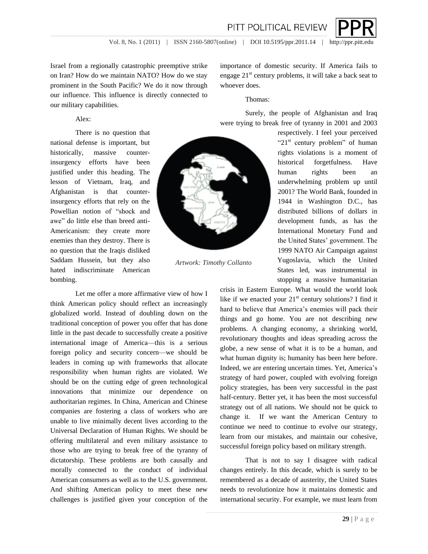

Israel from a regionally catastrophic preemptive strike on Iran? How do we maintain NATO? How do we stay prominent in the South Pacific? We do it now through our influence. This influence is directly connected to our military capabilities.

### Alex:

There is no question that national defense is important, but historically, massive counterinsurgency efforts have been justified under this heading. The lesson of Vietnam, Iraq, and Afghanistan is that counterinsurgency efforts that rely on the Powellian notion of "shock and awe" do little else than breed anti-Americanism: they create more enemies than they destroy. There is no question that the Iraqis disliked Saddam Hussein, but they also hated indiscriminate American bombing.

Let me offer a more affirmative view of how I think American policy should reflect an increasingly globalized world. Instead of doubling down on the traditional conception of power you offer that has done little in the past decade to successfully create a positive international image of America—this is a serious foreign policy and security concern—we should be leaders in coming up with frameworks that allocate responsibility when human rights are violated. We should be on the cutting edge of green technological innovations that minimize our dependence on authoritarian regimes. In China, American and Chinese companies are fostering a class of workers who are unable to live minimally decent lives according to the Universal Declaration of Human Rights. We should be offering multilateral and even military assistance to those who are trying to break free of the tyranny of dictatorship. These problems are both causally and morally connected to the conduct of individual American consumers as well as to the U.S. government. And shifting American policy to meet these new challenges is justified given your conception of the

importance of domestic security. If America fails to engage  $21<sup>st</sup>$  century problems, it will take a back seat to whoever does.

#### Thomas:

Surely, the people of Afghanistan and Iraq were trying to break free of tyranny in 2001 and 2003

> respectively. I feel your perceived " $21<sup>st</sup>$  century problem" of human rights violations is a moment of historical forgetfulness. Have human rights been an underwhelming problem up until 2001? The World Bank, founded in 1944 in Washington D.C., has distributed billions of dollars in development funds, as has the International Monetary Fund and the United States' government. The 1999 NATO Air Campaign against Yugoslavia, which the United States led, was instrumental in stopping a massive humanitarian

crisis in Eastern Europe. What would the world look like if we enacted your  $21<sup>st</sup>$  century solutions? I find it hard to believe that America's enemies will pack their things and go home. You are not describing new problems. A changing economy, a shrinking world, revolutionary thoughts and ideas spreading across the globe, a new sense of what it is to be a human, and what human dignity is; humanity has been here before. Indeed, we are entering uncertain times. Yet, America's strategy of hard power, coupled with evolving foreign policy strategies, has been very successful in the past half-century. Better yet, it has been the most successful strategy out of all nations. We should not be quick to change it. If we want the American Century to continue we need to continue to evolve our strategy, learn from our mistakes, and maintain our cohesive, successful foreign policy based on military strength.

That is not to say I disagree with radical changes entirely. In this decade, which is surely to be remembered as a decade of austerity, the United States needs to revolutionize how it maintains domestic and international security. For example, we must learn from



*Artwork: Timothy Collanto*